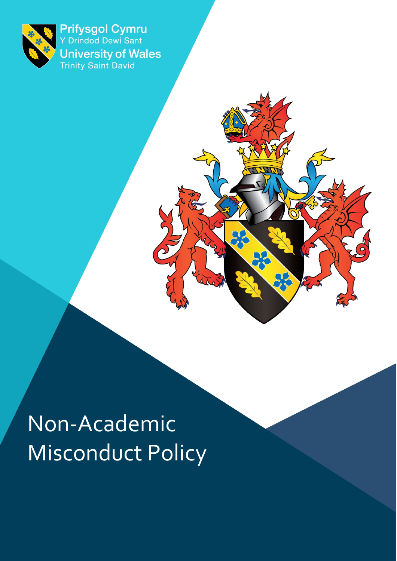

Prifysgol Cymru<br>Y Drindod Dewi Sant **University of Wales**<br>Trinity Saint David

# Non-Academic Misconduct Policy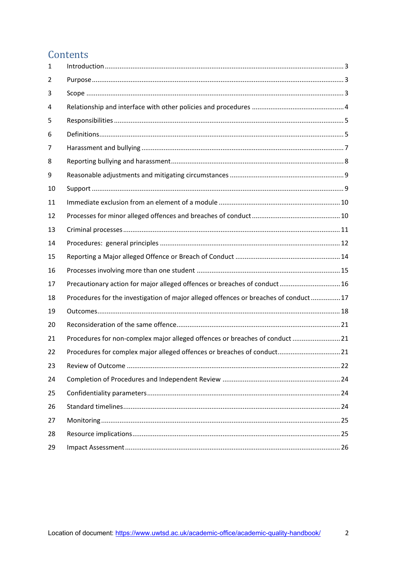### Contents

| 1  |                                                                                     |  |
|----|-------------------------------------------------------------------------------------|--|
| 2  |                                                                                     |  |
| 3  |                                                                                     |  |
| 4  |                                                                                     |  |
| 5  |                                                                                     |  |
| 6  |                                                                                     |  |
| 7  |                                                                                     |  |
| 8  |                                                                                     |  |
| 9  |                                                                                     |  |
| 10 |                                                                                     |  |
| 11 |                                                                                     |  |
| 12 |                                                                                     |  |
| 13 |                                                                                     |  |
| 14 |                                                                                     |  |
| 15 |                                                                                     |  |
| 16 |                                                                                     |  |
| 17 | Precautionary action for major alleged offences or breaches of conduct 16           |  |
| 18 | Procedures for the investigation of major alleged offences or breaches of conduct17 |  |
| 19 |                                                                                     |  |
| 20 |                                                                                     |  |
| 21 | Procedures for non-complex major alleged offences or breaches of conduct 21         |  |
| 22 | Procedures for complex major alleged offences or breaches of conduct 21             |  |
| 23 |                                                                                     |  |
| 24 |                                                                                     |  |
| 25 |                                                                                     |  |
| 26 |                                                                                     |  |
| 27 |                                                                                     |  |
| 28 |                                                                                     |  |
| 29 |                                                                                     |  |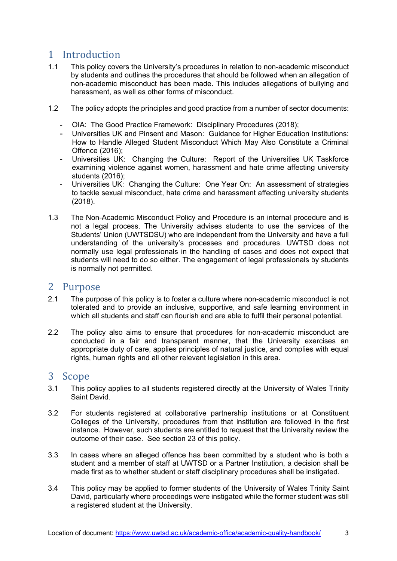## <span id="page-2-0"></span>1 Introduction<br>1.1 This policy cove

- This policy covers the University's procedures in relation to non-academic misconduct by students and outlines the procedures that should be followed when an allegation of non-academic misconduct has been made. This includes allegations of bullying and harassment, as well as other forms of misconduct.
- 1.2 The policy adopts the principles and good practice from a number of sector documents:
	- OIA: The Good Practice Framework: Disciplinary Procedures (2018);
	- Universities UK and Pinsent and Mason: Guidance for Higher Education Institutions: How to Handle Alleged Student Misconduct Which May Also Constitute a Criminal Offence (2016);
	- Universities UK: Changing the Culture: Report of the Universities UK Taskforce examining violence against women, harassment and hate crime affecting university students (2016);
	- Universities UK: Changing the Culture: One Year On: An assessment of strategies to tackle sexual misconduct, hate crime and harassment affecting university students (2018).
- 1.3 The Non-Academic Misconduct Policy and Procedure is an internal procedure and is not a legal process. The University advises students to use the services of the Students' Union (UWTSDSU) who are independent from the University and have a full understanding of the university's processes and procedures. UWTSD does not normally use legal professionals in the handling of cases and does not expect that students will need to do so either. The engagement of legal professionals by students is normally not permitted.

## <span id="page-2-1"></span>2 Purpose<br>2.1 The purpe

- The purpose of this policy is to foster a culture where non-academic misconduct is not tolerated and to provide an inclusive, supportive, and safe learning environment in which all students and staff can flourish and are able to fulfil their personal potential.
- 2.2 The policy also aims to ensure that procedures for non-academic misconduct are conducted in a fair and transparent manner, that the University exercises an appropriate duty of care, applies principles of natural justice, and complies with equal rights, human rights and all other relevant legislation in this area.

### <span id="page-2-2"></span>3 Scope

- 3.1 This policy applies to all students registered directly at the University of Wales Trinity Saint David.
- 3.2 For students registered at collaborative partnership institutions or at Constituent Colleges of the University, procedures from that institution are followed in the first instance. However, such students are entitled to request that the University review the outcome of their case. See section 23 of this policy.
- 3.3 In cases where an alleged offence has been committed by a student who is both a student and a member of staff at UWTSD or a Partner Institution, a decision shall be made first as to whether student or staff disciplinary procedures shall be instigated.
- 3.4 This policy may be applied to former students of the University of Wales Trinity Saint David, particularly where proceedings were instigated while the former student was still a registered student at the University.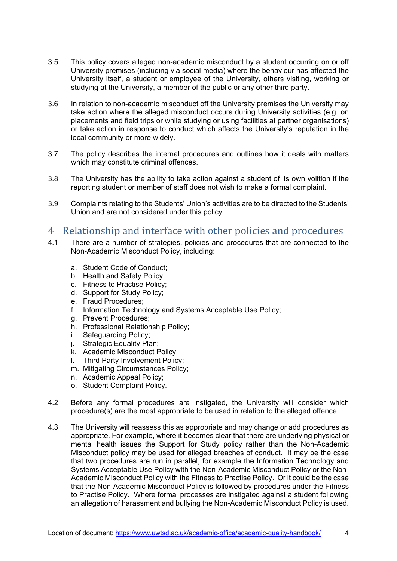- 3.5 This policy covers alleged non-academic misconduct by a student occurring on or off University premises (including via social media) where the behaviour has affected the University itself, a student or employee of the University, others visiting, working or studying at the University, a member of the public or any other third party.
- 3.6 In relation to non-academic misconduct off the University premises the University may take action where the alleged misconduct occurs during University activities (e.g. on placements and field trips or while studying or using facilities at partner organisations) or take action in response to conduct which affects the University's reputation in the local community or more widely.
- 3.7 The policy describes the internal procedures and outlines how it deals with matters which may constitute criminal offences.
- 3.8 The University has the ability to take action against a student of its own volition if the reporting student or member of staff does not wish to make a formal complaint.
- 3.9 Complaints relating to the Students' Union's activities are to be directed to the Students' Union and are not considered under this policy.

## <span id="page-3-0"></span>4 Relationship and interface with other policies and procedures<br>4.1 There are a number of strategies, policies and procedures that are connected to the

- There are a number of strategies, policies and procedures that are connected to the Non-Academic Misconduct Policy, including:
	- a. Student Code of Conduct;
	- b. Health and Safety Policy;
	- c. Fitness to Practise Policy;
	- d. Support for Study Policy;
	- e. Fraud Procedures;
	- f. Information Technology and Systems Acceptable Use Policy;
	- g. Prevent Procedures;
	- h. Professional Relationship Policy;
	- i. Safeguarding Policy;
	- j. Strategic Equality Plan;
	- k. Academic Misconduct Policy;
	- l. Third Party Involvement Policy;
	- m. Mitigating Circumstances Policy;
	- n. Academic Appeal Policy;
	- o. Student Complaint Policy.
- 4.2 Before any formal procedures are instigated, the University will consider which procedure(s) are the most appropriate to be used in relation to the alleged offence.
- 4.3 The University will reassess this as appropriate and may change or add procedures as appropriate. For example, where it becomes clear that there are underlying physical or mental health issues the Support for Study policy rather than the Non-Academic Misconduct policy may be used for alleged breaches of conduct. It may be the case that two procedures are run in parallel, for example the Information Technology and Systems Acceptable Use Policy with the Non-Academic Misconduct Policy or the Non-Academic Misconduct Policy with the Fitness to Practise Policy. Or it could be the case that the Non-Academic Misconduct Policy is followed by procedures under the Fitness to Practise Policy. Where formal processes are instigated against a student following an allegation of harassment and bullying the Non-Academic Misconduct Policy is used.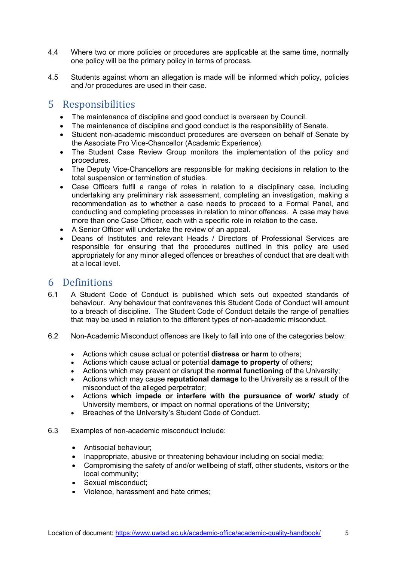- 4.4 Where two or more policies or procedures are applicable at the same time, normally one policy will be the primary policy in terms of process.
- 4.5 Students against whom an allegation is made will be informed which policy, policies and /or procedures are used in their case.

### <span id="page-4-0"></span>5 Responsibilities

- The maintenance of discipline and good conduct is overseen by Council.
- The maintenance of discipline and good conduct is the responsibility of Senate.
- Student non-academic misconduct procedures are overseen on behalf of Senate by the Associate Pro Vice-Chancellor (Academic Experience).
- The Student Case Review Group monitors the implementation of the policy and procedures.
- The Deputy Vice-Chancellors are responsible for making decisions in relation to the total suspension or termination of studies.
- Case Officers fulfil a range of roles in relation to a disciplinary case, including undertaking any preliminary risk assessment, completing an investigation, making a recommendation as to whether a case needs to proceed to a Formal Panel, and conducting and completing processes in relation to minor offences. A case may have more than one Case Officer, each with a specific role in relation to the case.
- A Senior Officer will undertake the review of an appeal.
- Deans of Institutes and relevant Heads / Directors of Professional Services are responsible for ensuring that the procedures outlined in this policy are used appropriately for any minor alleged offences or breaches of conduct that are dealt with at a local level.

## <span id="page-4-1"></span>6 Definitions<br>6.1 A Student C

- 6.1 A Student Code of Conduct is published which sets out expected standards of behaviour. Any behaviour that contravenes this Student Code of Conduct will amount to a breach of discipline. The Student Code of Conduct details the range of penalties that may be used in relation to the different types of non-academic misconduct.
- 6.2 Non-Academic Misconduct offences are likely to fall into one of the categories below:
	- Actions which cause actual or potential **distress or harm** to others;
	- Actions which cause actual or potential **damage to property** of others;
	- Actions which may prevent or disrupt the **normal functioning** of the University;
	- Actions which may cause **reputational damage** to the University as a result of the misconduct of the alleged perpetrator;
	- Actions **which impede or interfere with the pursuance of work/ study** of University members, or impact on normal operations of the University;
	- Breaches of the University's Student Code of Conduct.
- 6.3 Examples of non-academic misconduct include:
	- Antisocial behaviour;
	- Inappropriate, abusive or threatening behaviour including on social media;
	- Compromising the safety of and/or wellbeing of staff, other students, visitors or the local community;
	- Sexual misconduct;
	- Violence, harassment and hate crimes;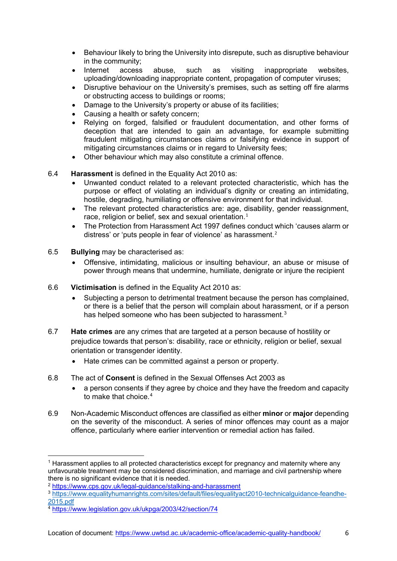- Behaviour likely to bring the University into disrepute, such as disruptive behaviour in the community;
- Internet access abuse, such as visiting inappropriate websites, uploading/downloading inappropriate content, propagation of computer viruses;
- Disruptive behaviour on the University's premises, such as setting off fire alarms or obstructing access to buildings or rooms;
- Damage to the University's property or abuse of its facilities;
- Causing a health or safety concern;
- Relying on forged, falsified or fraudulent documentation, and other forms of deception that are intended to gain an advantage, for example submitting fraudulent mitigating circumstances claims or falsifying evidence in support of mitigating circumstances claims or in regard to University fees;
- Other behaviour which may also constitute a criminal offence.
- 6.4 **Harassment** is defined in the Equality Act 2010 as:
	- Unwanted conduct related to a relevant protected characteristic, which has the purpose or effect of violating an individual's dignity or creating an intimidating, hostile, degrading, humiliating or offensive environment for that individual.
	- The relevant protected characteristics are: age, disability, gender reassignment, race, religion or belief, sex and sexual orientation. $1$
	- The Protection from Harassment Act 1997 defines conduct which 'causes alarm or distress' or 'puts people in fear of violence' as harassment. [2](#page-5-1)
- 6.5 **Bullying** may be characterised as:
	- Offensive, intimidating, malicious or insulting behaviour, an abuse or misuse of power through means that undermine, humiliate, denigrate or injure the recipient
- 6.6 **Victimisation** is defined in the Equality Act 2010 as:
	- Subjecting a person to detrimental treatment because the person has complained, or there is a belief that the person will complain about harassment, or if a person has helped someone who has been subjected to harassment.<sup>[3](#page-5-2)</sup>
- 6.7 **Hate crimes** are any crimes that are targeted at a person because of hostility or prejudice towards that person's: disability, race or ethnicity, religion or belief, sexual orientation or transgender identity.
	- Hate crimes can be committed against a person or property.
- 6.8 The act of **Consent** is defined in the Sexual Offenses Act 2003 as
	- a person consents if they agree by choice and they have the freedom and capacity to make that choice.<sup>[4](#page-5-3)</sup>
- 6.9 Non-Academic Misconduct offences are classified as either **minor** or **major** depending on the severity of the misconduct. A series of minor offences may count as a major offence, particularly where earlier intervention or remedial action has failed.

<span id="page-5-0"></span><sup>1</sup> Harassment applies to all protected characteristics except for pregnancy and maternity where any unfavourable treatment may be considered discrimination, and marriage and civil partnership where there is no significant evidence that it is needed.

<span id="page-5-1"></span><sup>2</sup> <https://www.cps.gov.uk/legal-guidance/stalking-and-harassment>

<span id="page-5-2"></span><sup>3</sup> [https://www.equalityhumanrights.com/sites/default/files/equalityact2010-technicalguidance-feandhe-](https://www.equalityhumanrights.com/sites/default/files/equalityact2010-technicalguidance-feandhe-2015.pdf)[2015.pdf](https://www.equalityhumanrights.com/sites/default/files/equalityact2010-technicalguidance-feandhe-2015.pdf)

<span id="page-5-3"></span><sup>4</sup> <https://www.legislation.gov.uk/ukpga/2003/42/section/74>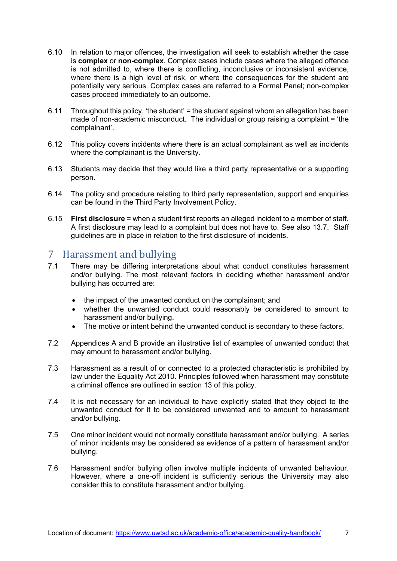- 6.10 In relation to major offences, the investigation will seek to establish whether the case is **complex** or **non-complex**. Complex cases include cases where the alleged offence is not admitted to, where there is conflicting, inconclusive or inconsistent evidence, where there is a high level of risk, or where the consequences for the student are potentially very serious. Complex cases are referred to a Formal Panel; non-complex cases proceed immediately to an outcome.
- 6.11 Throughout this policy, 'the student' = the student against whom an allegation has been made of non-academic misconduct. The individual or group raising a complaint = 'the complainant'.
- 6.12 This policy covers incidents where there is an actual complainant as well as incidents where the complainant is the University.
- 6.13 Students may decide that they would like a third party representative or a supporting person.
- 6.14 The policy and procedure relating to third party representation, support and enquiries can be found in the Third Party Involvement Policy.
- 6.15 **First disclosure** = when a student first reports an alleged incident to a member of staff. A first disclosure may lead to a complaint but does not have to. See also 13.7. Staff guidelines are in place in relation to the first disclosure of incidents.

## <span id="page-6-0"></span>7 Harassment and bullying<br>71 There may be differing interpret

- There may be differing interpretations about what conduct constitutes harassment and/or bullying. The most relevant factors in deciding whether harassment and/or bullying has occurred are:
	- the impact of the unwanted conduct on the complainant; and
	- whether the unwanted conduct could reasonably be considered to amount to harassment and/or bullying.
	- The motive or intent behind the unwanted conduct is secondary to these factors.
- 7.2 Appendices A and B provide an illustrative list of examples of unwanted conduct that may amount to harassment and/or bullying.
- 7.3 Harassment as a result of or connected to a protected characteristic is prohibited by law under the Equality Act 2010. Principles followed when harassment may constitute a criminal offence are outlined in section 13 of this policy.
- 7.4 It is not necessary for an individual to have explicitly stated that they object to the unwanted conduct for it to be considered unwanted and to amount to harassment and/or bullying.
- 7.5 One minor incident would not normally constitute harassment and/or bullying. A series of minor incidents may be considered as evidence of a pattern of harassment and/or bullying.
- 7.6 Harassment and/or bullying often involve multiple incidents of unwanted behaviour. However, where a one-off incident is sufficiently serious the University may also consider this to constitute harassment and/or bullying.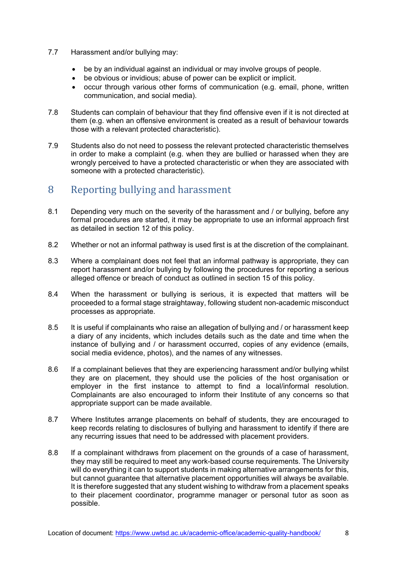- 7.7 Harassment and/or bullying may:
	- be by an individual against an individual or may involve groups of people.
	- be obvious or invidious; abuse of power can be explicit or implicit.
	- occur through various other forms of communication (e.g. email, phone, written communication, and social media).
- 7.8 Students can complain of behaviour that they find offensive even if it is not directed at them (e.g. when an offensive environment is created as a result of behaviour towards those with a relevant protected characteristic).
- 7.9 Students also do not need to possess the relevant protected characteristic themselves in order to make a complaint (e.g. when they are bullied or harassed when they are wrongly perceived to have a protected characteristic or when they are associated with someone with a protected characteristic).

### <span id="page-7-0"></span>8 Reporting bullying and harassment

- 8.1 Depending very much on the severity of the harassment and / or bullying, before any formal procedures are started, it may be appropriate to use an informal approach first as detailed in section 12 of this policy.
- 8.2 Whether or not an informal pathway is used first is at the discretion of the complainant.
- 8.3 Where a complainant does not feel that an informal pathway is appropriate, they can report harassment and/or bullying by following the procedures for reporting a serious alleged offence or breach of conduct as outlined in section 15 of this policy.
- 8.4 When the harassment or bullying is serious, it is expected that matters will be proceeded to a formal stage straightaway, following student non-academic misconduct processes as appropriate.
- 8.5 It is useful if complainants who raise an allegation of bullying and / or harassment keep a diary of any incidents, which includes details such as the date and time when the instance of bullying and / or harassment occurred, copies of any evidence (emails, social media evidence, photos), and the names of any witnesses.
- 8.6 If a complainant believes that they are experiencing harassment and/or bullying whilst they are on placement, they should use the policies of the host organisation or employer in the first instance to attempt to find a local/informal resolution. Complainants are also encouraged to inform their Institute of any concerns so that appropriate support can be made available.
- 8.7 Where Institutes arrange placements on behalf of students, they are encouraged to keep records relating to disclosures of bullying and harassment to identify if there are any recurring issues that need to be addressed with placement providers.
- 8.8 If a complainant withdraws from placement on the grounds of a case of harassment, they may still be required to meet any work-based course requirements. The University will do everything it can to support students in making alternative arrangements for this, but cannot guarantee that alternative placement opportunities will always be available. It is therefore suggested that any student wishing to withdraw from a placement speaks to their placement coordinator, programme manager or personal tutor as soon as possible.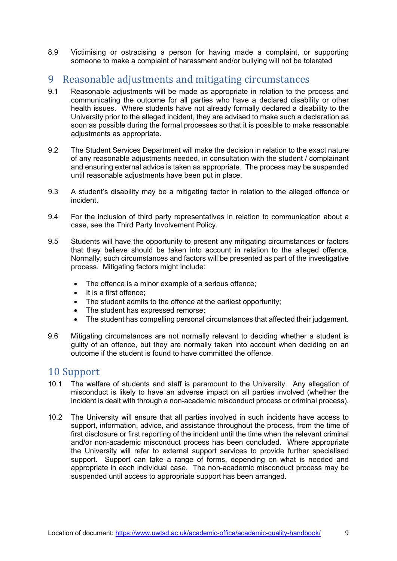8.9 Victimising or ostracising a person for having made a complaint, or supporting someone to make a complaint of harassment and/or bullying will not be tolerated

## <span id="page-8-0"></span>9 Reasonable adjustments and mitigating circumstances<br>9.1 Reasonable adjustments will be made as appropriate in relation to the p

- Reasonable adjustments will be made as appropriate in relation to the process and communicating the outcome for all parties who have a declared disability or other health issues. Where students have not already formally declared a disability to the University prior to the alleged incident, they are advised to make such a declaration as soon as possible during the formal processes so that it is possible to make reasonable adjustments as appropriate.
- 9.2 The Student Services Department will make the decision in relation to the exact nature of any reasonable adjustments needed, in consultation with the student / complainant and ensuring external advice is taken as appropriate. The process may be suspended until reasonable adjustments have been put in place.
- 9.3 A student's disability may be a mitigating factor in relation to the alleged offence or incident.
- 9.4 For the inclusion of third party representatives in relation to communication about a case, see the Third Party Involvement Policy.
- 9.5 Students will have the opportunity to present any mitigating circumstances or factors that they believe should be taken into account in relation to the alleged offence. Normally, such circumstances and factors will be presented as part of the investigative process. Mitigating factors might include:
	- The offence is a minor example of a serious offence;
	- It is a first offence;
	- The student admits to the offence at the earliest opportunity;
	- The student has expressed remorse:
	- The student has compelling personal circumstances that affected their judgement.
- 9.6 Mitigating circumstances are not normally relevant to deciding whether a student is guilty of an offence, but they are normally taken into account when deciding on an outcome if the student is found to have committed the offence.

## <span id="page-8-1"></span>10 Support<br>10.1 The welfa

- The welfare of students and staff is paramount to the University. Any allegation of misconduct is likely to have an adverse impact on all parties involved (whether the incident is dealt with through a non-academic misconduct process or criminal process).
- 10.2 The University will ensure that all parties involved in such incidents have access to support, information, advice, and assistance throughout the process, from the time of first disclosure or first reporting of the incident until the time when the relevant criminal and/or non-academic misconduct process has been concluded. Where appropriate the University will refer to external support services to provide further specialised support. Support can take a range of forms, depending on what is needed and appropriate in each individual case. The non-academic misconduct process may be suspended until access to appropriate support has been arranged.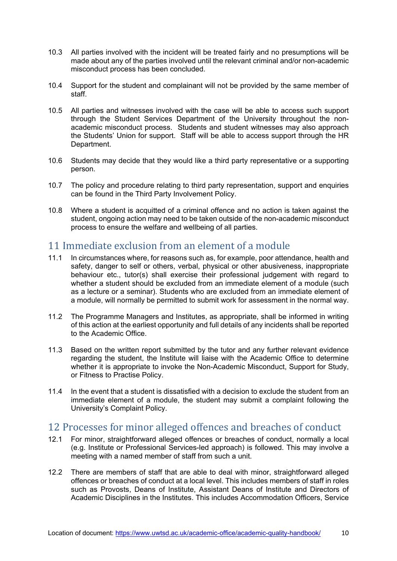- 10.3 All parties involved with the incident will be treated fairly and no presumptions will be made about any of the parties involved until the relevant criminal and/or non-academic misconduct process has been concluded.
- 10.4 Support for the student and complainant will not be provided by the same member of staff.
- 10.5 All parties and witnesses involved with the case will be able to access such support through the Student Services Department of the University throughout the nonacademic misconduct process. Students and student witnesses may also approach the Students' Union for support. Staff will be able to access support through the HR Department.
- 10.6 Students may decide that they would like a third party representative or a supporting person.
- 10.7 The policy and procedure relating to third party representation, support and enquiries can be found in the Third Party Involvement Policy.
- 10.8 Where a student is acquitted of a criminal offence and no action is taken against the student, ongoing action may need to be taken outside of the non-academic misconduct process to ensure the welfare and wellbeing of all parties.

## <span id="page-9-0"></span>11 Immediate exclusion from an element of a module<br>11.1 In circumstances where, for reasons such as, for example, poor atten

- In circumstances where, for reasons such as, for example, poor attendance, health and safety, danger to self or others, verbal, physical or other abusiveness, inappropriate behaviour etc., tutor(s) shall exercise their professional judgement with regard to whether a student should be excluded from an immediate element of a module (such as a lecture or a seminar). Students who are excluded from an immediate element of a module, will normally be permitted to submit work for assessment in the normal way.
- 11.2 The Programme Managers and Institutes, as appropriate, shall be informed in writing of this action at the earliest opportunity and full details of any incidents shall be reported to the Academic Office.
- 11.3 Based on the written report submitted by the tutor and any further relevant evidence regarding the student, the Institute will liaise with the Academic Office to determine whether it is appropriate to invoke the Non-Academic Misconduct, Support for Study, or Fitness to Practise Policy.
- 11.4 In the event that a student is dissatisfied with a decision to exclude the student from an immediate element of a module, the student may submit a complaint following the University's Complaint Policy.

### <span id="page-9-1"></span>12 Processes for minor alleged offences and breaches of conduct

- 12.1 For minor, straightforward alleged offences or breaches of conduct, normally a local (e.g. Institute or Professional Services-led approach) is followed. This may involve a meeting with a named member of staff from such a unit.
- 12.2 There are members of staff that are able to deal with minor, straightforward alleged offences or breaches of conduct at a local level. This includes members of staff in roles such as Provosts, Deans of Institute, Assistant Deans of Institute and Directors of Academic Disciplines in the Institutes. This includes Accommodation Officers, Service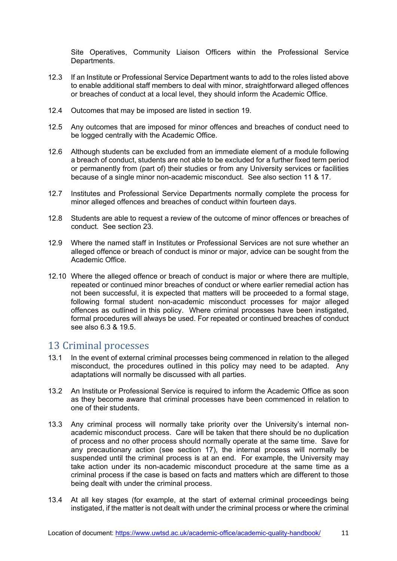Site Operatives, Community Liaison Officers within the Professional Service Departments.

- 12.3 If an Institute or Professional Service Department wants to add to the roles listed above to enable additional staff members to deal with minor, straightforward alleged offences or breaches of conduct at a local level, they should inform the Academic Office.
- 12.4 Outcomes that may be imposed are listed in section 19.
- 12.5 Any outcomes that are imposed for minor offences and breaches of conduct need to be logged centrally with the Academic Office.
- 12.6 Although students can be excluded from an immediate element of a module following a breach of conduct, students are not able to be excluded for a further fixed term period or permanently from (part of) their studies or from any University services or facilities because of a single minor non-academic misconduct. See also section 11 & 17.
- 12.7 Institutes and Professional Service Departments normally complete the process for minor alleged offences and breaches of conduct within fourteen days.
- 12.8 Students are able to request a review of the outcome of minor offences or breaches of conduct. See section 23.
- 12.9 Where the named staff in Institutes or Professional Services are not sure whether an alleged offence or breach of conduct is minor or major, advice can be sought from the Academic Office.
- 12.10 Where the alleged offence or breach of conduct is major or where there are multiple, repeated or continued minor breaches of conduct or where earlier remedial action has not been successful, it is expected that matters will be proceeded to a formal stage, following formal student non-academic misconduct processes for major alleged offences as outlined in this policy. Where criminal processes have been instigated, formal procedures will always be used. For repeated or continued breaches of conduct see also 6.3 & 19.5.

## <span id="page-10-0"></span>13 Criminal processes<br>13.1 In the event of external c

- In the event of external criminal processes being commenced in relation to the alleged misconduct, the procedures outlined in this policy may need to be adapted. Any adaptations will normally be discussed with all parties.
- 13.2 An Institute or Professional Service is required to inform the Academic Office as soon as they become aware that criminal processes have been commenced in relation to one of their students.
- 13.3 Any criminal process will normally take priority over the University's internal nonacademic misconduct process. Care will be taken that there should be no duplication of process and no other process should normally operate at the same time. Save for any precautionary action (see section 17), the internal process will normally be suspended until the criminal process is at an end. For example, the University may take action under its non-academic misconduct procedure at the same time as a criminal process if the case is based on facts and matters which are different to those being dealt with under the criminal process.
- 13.4 At all key stages (for example, at the start of external criminal proceedings being instigated, if the matter is not dealt with under the criminal process or where the criminal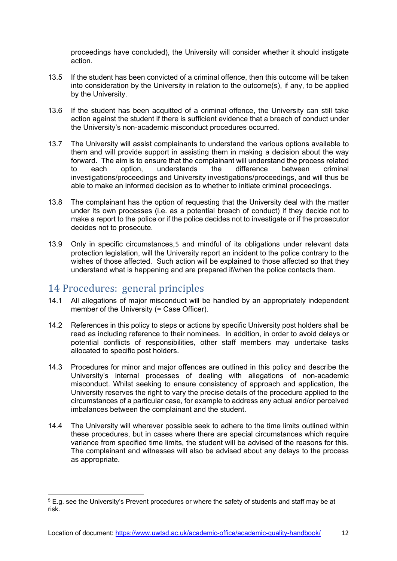proceedings have concluded), the University will consider whether it should instigate action.

- 13.5 If the student has been convicted of a criminal offence, then this outcome will be taken into consideration by the University in relation to the outcome(s), if any, to be applied by the University.
- 13.6 If the student has been acquitted of a criminal offence, the University can still take action against the student if there is sufficient evidence that a breach of conduct under the University's non-academic misconduct procedures occurred.
- 13.7 The University will assist complainants to understand the various options available to them and will provide support in assisting them in making a decision about the way forward. The aim is to ensure that the complainant will understand the process related<br>to each option understands the difference between criminal to each option, understands the difference between criminal investigations/proceedings and University investigations/proceedings, and will thus be able to make an informed decision as to whether to initiate criminal proceedings.
- 13.8 The complainant has the option of requesting that the University deal with the matter under its own processes (i.e. as a potential breach of conduct) if they decide not to make a report to the police or if the police decides not to investigate or if the prosecutor decides not to prosecute.
- 13.9 Only in specific circumstances,[5](#page-11-1) and mindful of its obligations under relevant data protection legislation, will the University report an incident to the police contrary to the wishes of those affected. Such action will be explained to those affected so that they understand what is happening and are prepared if/when the police contacts them.

## <span id="page-11-0"></span>14 Procedures: general principles<br>14.1 All allegations of maior misconduct will b

- All allegations of major misconduct will be handled by an appropriately independent member of the University (= Case Officer).
- 14.2 References in this policy to steps or actions by specific University post holders shall be read as including reference to their nominees. In addition, in order to avoid delays or potential conflicts of responsibilities, other staff members may undertake tasks allocated to specific post holders.
- 14.3 Procedures for minor and major offences are outlined in this policy and describe the University's internal processes of dealing with allegations of non-academic misconduct. Whilst seeking to ensure consistency of approach and application, the University reserves the right to vary the precise details of the procedure applied to the circumstances of a particular case, for example to address any actual and/or perceived imbalances between the complainant and the student.
- 14.4 The University will wherever possible seek to adhere to the time limits outlined within these procedures, but in cases where there are special circumstances which require variance from specified time limits, the student will be advised of the reasons for this. The complainant and witnesses will also be advised about any delays to the process as appropriate.

<span id="page-11-1"></span><sup>5</sup> E.g. see the University's Prevent procedures or where the safety of students and staff may be at risk.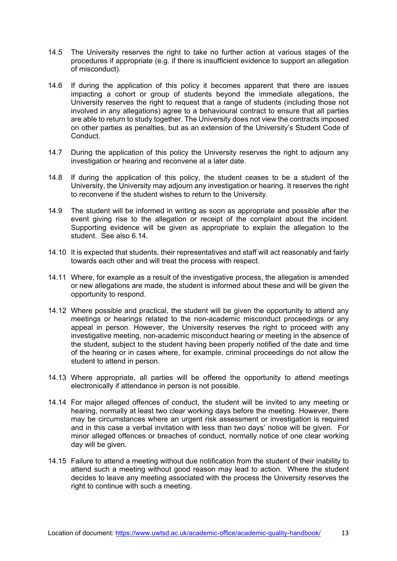- 14.5 The University reserves the right to take no further action at various stages of the procedures if appropriate (e.g. if there is insufficient evidence to support an allegation of misconduct).
- 14.6 If during the application of this policy it becomes apparent that there are issues impacting a cohort or group of students beyond the immediate allegations, the University reserves the right to request that a range of students (including those not involved in any allegations) agree to a behavioural contract to ensure that all parties are able to return to study together. The University does not view the contracts imposed on other parties as penalties, but as an extension of the University's Student Code of Conduct.
- 14.7 During the application of this policy the University reserves the right to adjourn any investigation or hearing and reconvene at a later date.
- 14.8 If during the application of this policy, the student ceases to be a student of the University, the University may adjourn any investigation or hearing. It reserves the right to reconvene if the student wishes to return to the University.
- 14.9 The student will be informed in writing as soon as appropriate and possible after the event giving rise to the allegation or receipt of the complaint about the incident. Supporting evidence will be given as appropriate to explain the allegation to the student. See also 6.14.
- 14.10 It is expected that students, their representatives and staff will act reasonably and fairly towards each other and will treat the process with respect.
- 14.11 Where, for example as a result of the investigative process, the allegation is amended or new allegations are made, the student is informed about these and will be given the opportunity to respond.
- 14.12 Where possible and practical, the student will be given the opportunity to attend any meetings or hearings related to the non-academic misconduct proceedings or any appeal in person. However, the University reserves the right to proceed with any investigative meeting, non-academic misconduct hearing or meeting in the absence of the student, subject to the student having been properly notified of the date and time of the hearing or in cases where, for example, criminal proceedings do not allow the student to attend in person.
- 14.13 Where appropriate, all parties will be offered the opportunity to attend meetings electronically if attendance in person is not possible.
- 14.14 For major alleged offences of conduct, the student will be invited to any meeting or hearing, normally at least two clear working days before the meeting. However, there may be circumstances where an urgent risk assessment or investigation is required and in this case a verbal invitation with less than two days' notice will be given. For minor alleged offences or breaches of conduct, normally notice of one clear working day will be given.
- 14.15 Failure to attend a meeting without due notification from the student of their inability to attend such a meeting without good reason may lead to action. Where the student decides to leave any meeting associated with the process the University reserves the right to continue with such a meeting.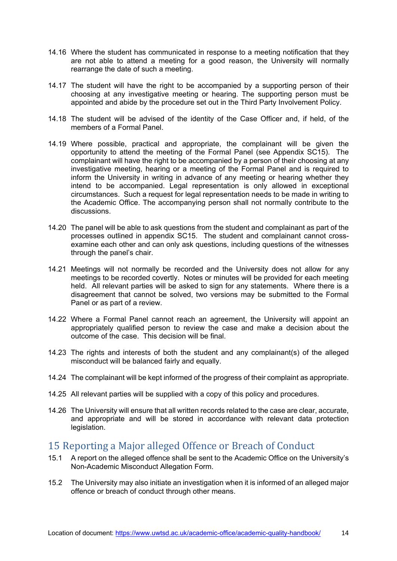- 14.16 Where the student has communicated in response to a meeting notification that they are not able to attend a meeting for a good reason, the University will normally rearrange the date of such a meeting.
- 14.17 The student will have the right to be accompanied by a supporting person of their choosing at any investigative meeting or hearing. The supporting person must be appointed and abide by the procedure set out in the Third Party Involvement Policy.
- 14.18 The student will be advised of the identity of the Case Officer and, if held, of the members of a Formal Panel.
- 14.19 Where possible, practical and appropriate, the complainant will be given the opportunity to attend the meeting of the Formal Panel (see Appendix SC15). The complainant will have the right to be accompanied by a person of their choosing at any investigative meeting, hearing or a meeting of the Formal Panel and is required to inform the University in writing in advance of any meeting or hearing whether they intend to be accompanied. Legal representation is only allowed in exceptional circumstances. Such a request for legal representation needs to be made in writing to the Academic Office. The accompanying person shall not normally contribute to the discussions.
- 14.20 The panel will be able to ask questions from the student and complainant as part of the processes outlined in appendix SC15. The student and complainant cannot crossexamine each other and can only ask questions, including questions of the witnesses through the panel's chair.
- 14.21 Meetings will not normally be recorded and the University does not allow for any meetings to be recorded covertly. Notes or minutes will be provided for each meeting held. All relevant parties will be asked to sign for any statements. Where there is a disagreement that cannot be solved, two versions may be submitted to the Formal Panel or as part of a review.
- 14.22 Where a Formal Panel cannot reach an agreement, the University will appoint an appropriately qualified person to review the case and make a decision about the outcome of the case. This decision will be final.
- 14.23 The rights and interests of both the student and any complainant(s) of the alleged misconduct will be balanced fairly and equally.
- 14.24 The complainant will be kept informed of the progress of their complaint as appropriate.
- 14.25 All relevant parties will be supplied with a copy of this policy and procedures.
- 14.26 The University will ensure that all written records related to the case are clear, accurate, and appropriate and will be stored in accordance with relevant data protection legislation.

## <span id="page-13-0"></span>15 Reporting a Major alleged Offence or Breach of Conduct<br>15.1 A report on the alleged offence shall be sent to the Academic Office on the U

- A report on the alleged offence shall be sent to the Academic Office on the University's Non-Academic Misconduct Allegation Form.
- 15.2 The University may also initiate an investigation when it is informed of an alleged major offence or breach of conduct through other means.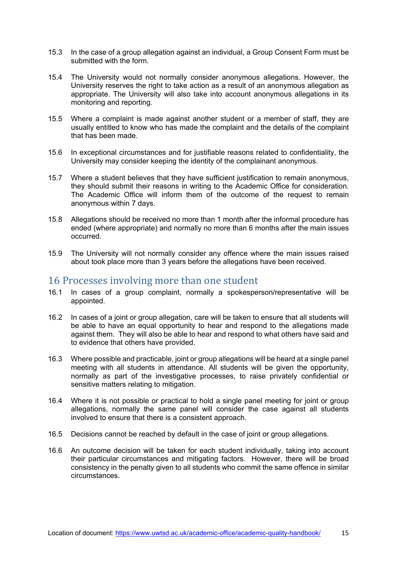- 15.3 In the case of a group allegation against an individual, a Group Consent Form must be submitted with the form.
- 15.4 The University would not normally consider anonymous allegations. However, the University reserves the right to take action as a result of an anonymous allegation as appropriate. The University will also take into account anonymous allegations in its monitoring and reporting.
- 15.5 Where a complaint is made against another student or a member of staff, they are usually entitled to know who has made the complaint and the details of the complaint that has been made.
- 15.6 In exceptional circumstances and for justifiable reasons related to confidentiality, the University may consider keeping the identity of the complainant anonymous.
- 15.7 Where a student believes that they have sufficient justification to remain anonymous, they should submit their reasons in writing to the Academic Office for consideration. The Academic Office will inform them of the outcome of the request to remain anonymous within 7 days.
- 15.8 Allegations should be received no more than 1 month after the informal procedure has ended (where appropriate) and normally no more than 6 months after the main issues occurred.
- 15.9 The University will not normally consider any offence where the main issues raised about took place more than 3 years before the allegations have been received.

### <span id="page-14-0"></span>16 Processes involving more than one student

- 16.1 In cases of a group complaint, normally a spokesperson/representative will be appointed.
- 16.2 In cases of a joint or group allegation, care will be taken to ensure that all students will be able to have an equal opportunity to hear and respond to the allegations made against them. They will also be able to hear and respond to what others have said and to evidence that others have provided.
- 16.3 Where possible and practicable, joint or group allegations will be heard at a single panel meeting with all students in attendance. All students will be given the opportunity, normally as part of the investigative processes, to raise privately confidential or sensitive matters relating to mitigation.
- 16.4 Where it is not possible or practical to hold a single panel meeting for joint or group allegations, normally the same panel will consider the case against all students involved to ensure that there is a consistent approach.
- 16.5 Decisions cannot be reached by default in the case of joint or group allegations.
- 16.6 An outcome decision will be taken for each student individually, taking into account their particular circumstances and mitigating factors. However, there will be broad consistency in the penalty given to all students who commit the same offence in similar circumstances.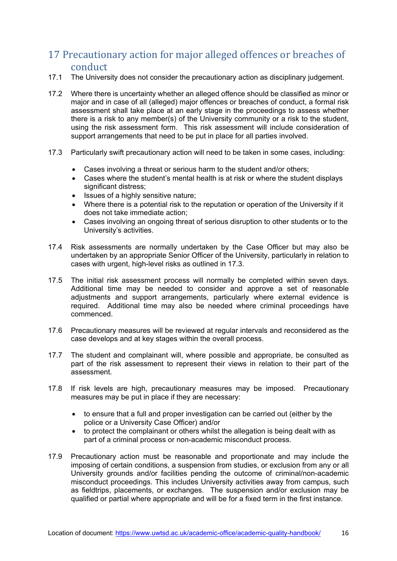### <span id="page-15-0"></span>17 Precautionary action for major alleged offences or breaches of conduct

- 17.1 The University does not consider the precautionary action as disciplinary judgement.
- 17.2 Where there is uncertainty whether an alleged offence should be classified as minor or major and in case of all (alleged) major offences or breaches of conduct, a formal risk assessment shall take place at an early stage in the proceedings to assess whether there is a risk to any member(s) of the University community or a risk to the student, using the risk assessment form. This risk assessment will include consideration of support arrangements that need to be put in place for all parties involved.
- 17.3 Particularly swift precautionary action will need to be taken in some cases, including:
	- Cases involving a threat or serious harm to the student and/or others;
	- Cases where the student's mental health is at risk or where the student displays significant distress:
	- Issues of a highly sensitive nature:
	- Where there is a potential risk to the reputation or operation of the University if it does not take immediate action;
	- Cases involving an ongoing threat of serious disruption to other students or to the University's activities.
- 17.4 Risk assessments are normally undertaken by the Case Officer but may also be undertaken by an appropriate Senior Officer of the University, particularly in relation to cases with urgent, high-level risks as outlined in 17.3.
- 17.5 The initial risk assessment process will normally be completed within seven days. Additional time may be needed to consider and approve a set of reasonable adjustments and support arrangements, particularly where external evidence is required. Additional time may also be needed where criminal proceedings have commenced.
- 17.6 Precautionary measures will be reviewed at regular intervals and reconsidered as the case develops and at key stages within the overall process.
- 17.7 The student and complainant will, where possible and appropriate, be consulted as part of the risk assessment to represent their views in relation to their part of the assessment.
- 17.8 If risk levels are high, precautionary measures may be imposed. Precautionary measures may be put in place if they are necessary:
	- to ensure that a full and proper investigation can be carried out (either by the police or a University Case Officer) and/or
	- to protect the complainant or others whilst the allegation is being dealt with as part of a criminal process or non-academic misconduct process.
- 17.9 Precautionary action must be reasonable and proportionate and may include the imposing of certain conditions, a suspension from studies, or exclusion from any or all University grounds and/or facilities pending the outcome of criminal/non-academic misconduct proceedings. This includes University activities away from campus, such as fieldtrips, placements, or exchanges. The suspension and/or exclusion may be qualified or partial where appropriate and will be for a fixed term in the first instance.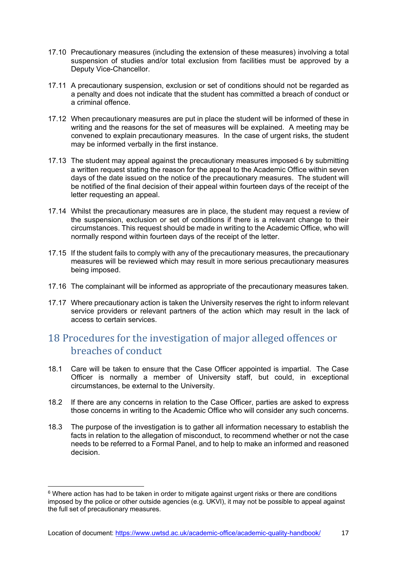- 17.10 Precautionary measures (including the extension of these measures) involving a total suspension of studies and/or total exclusion from facilities must be approved by a Deputy Vice-Chancellor.
- 17.11 A precautionary suspension, exclusion or set of conditions should not be regarded as a penalty and does not indicate that the student has committed a breach of conduct or a criminal offence.
- 17.12 When precautionary measures are put in place the student will be informed of these in writing and the reasons for the set of measures will be explained. A meeting may be convened to explain precautionary measures. In the case of urgent risks, the student may be informed verbally in the first instance.
- 17.13 The student may appeal against the precautionary measures imposed, [6](#page-16-1) by submitting a written request stating the reason for the appeal to the Academic Office within seven days of the date issued on the notice of the precautionary measures. The student will be notified of the final decision of their appeal within fourteen days of the receipt of the letter requesting an appeal.
- 17.14 Whilst the precautionary measures are in place, the student may request a review of the suspension, exclusion or set of conditions if there is a relevant change to their circumstances. This request should be made in writing to the Academic Office, who will normally respond within fourteen days of the receipt of the letter.
- 17.15 If the student fails to comply with any of the precautionary measures, the precautionary measures will be reviewed which may result in more serious precautionary measures being imposed.
- 17.16 The complainant will be informed as appropriate of the precautionary measures taken.
- 17.17 Where precautionary action is taken the University reserves the right to inform relevant service providers or relevant partners of the action which may result in the lack of access to certain services.

### <span id="page-16-0"></span>18 Procedures for the investigation of major alleged offences or breaches of conduct

- 18.1 Care will be taken to ensure that the Case Officer appointed is impartial. The Case Officer is normally a member of University staff, but could, in exceptional circumstances, be external to the University.
- 18.2 If there are any concerns in relation to the Case Officer, parties are asked to express those concerns in writing to the Academic Office who will consider any such concerns.
- 18.3 The purpose of the investigation is to gather all information necessary to establish the facts in relation to the allegation of misconduct, to recommend whether or not the case needs to be referred to a Formal Panel, and to help to make an informed and reasoned decision.

<span id="page-16-1"></span> $6$  Where action has had to be taken in order to mitigate against urgent risks or there are conditions imposed by the police or other outside agencies (e.g. UKVI), it may not be possible to appeal against the full set of precautionary measures.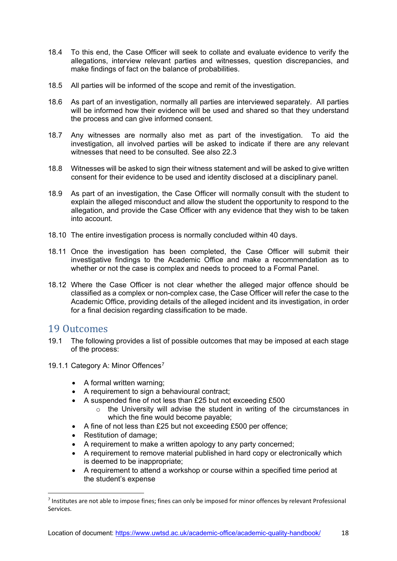- 18.4 To this end, the Case Officer will seek to collate and evaluate evidence to verify the allegations, interview relevant parties and witnesses, question discrepancies, and make findings of fact on the balance of probabilities.
- 18.5 All parties will be informed of the scope and remit of the investigation.
- 18.6 As part of an investigation, normally all parties are interviewed separately. All parties will be informed how their evidence will be used and shared so that they understand the process and can give informed consent.
- 18.7 Any witnesses are normally also met as part of the investigation. To aid the investigation, all involved parties will be asked to indicate if there are any relevant witnesses that need to be consulted. See also 22.3
- 18.8 Witnesses will be asked to sign their witness statement and will be asked to give written consent for their evidence to be used and identity disclosed at a disciplinary panel.
- 18.9 As part of an investigation, the Case Officer will normally consult with the student to explain the alleged misconduct and allow the student the opportunity to respond to the allegation, and provide the Case Officer with any evidence that they wish to be taken into account.
- 18.10 The entire investigation process is normally concluded within 40 days.
- 18.11 Once the investigation has been completed, the Case Officer will submit their investigative findings to the Academic Office and make a recommendation as to whether or not the case is complex and needs to proceed to a Formal Panel.
- 18.12 Where the Case Officer is not clear whether the alleged major offence should be classified as a complex or non-complex case, the Case Officer will refer the case to the Academic Office, providing details of the alleged incident and its investigation, in order for a final decision regarding classification to be made.

### <span id="page-17-0"></span>19 Outcomes

- 19.1 The following provides a list of possible outcomes that may be imposed at each stage of the process:
- 19.1.1 Category A: Minor Offences<sup>[7](#page-17-1)</sup>
	- A formal written warning;
	- A requirement to sign a behavioural contract;
	- A suspended fine of not less than £25 but not exceeding £500
		- $\circ$  the University will advise the student in writing of the circumstances in which the fine would become payable;
	- A fine of not less than £25 but not exceeding £500 per offence;
	- Restitution of damage;
	- A requirement to make a written apology to any party concerned;
	- A requirement to remove material published in hard copy or electronically which is deemed to be inappropriate;
	- A requirement to attend a workshop or course within a specified time period at the student's expense

<span id="page-17-1"></span><sup>&</sup>lt;sup>7</sup> Institutes are not able to impose fines; fines can only be imposed for minor offences by relevant Professional Services.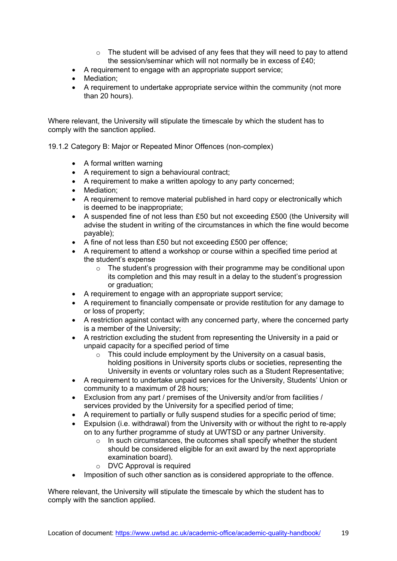- $\circ$  The student will be advised of any fees that they will need to pay to attend the session/seminar which will not normally be in excess of £40;
- A requirement to engage with an appropriate support service;
- Mediation:
- A requirement to undertake appropriate service within the community (not more than 20 hours).

Where relevant, the University will stipulate the timescale by which the student has to comply with the sanction applied.

19.1.2 Category B: Major or Repeated Minor Offences (non-complex)

- A formal written warning
- A requirement to sign a behavioural contract;
- A requirement to make a written apology to any party concerned;
- Mediation:
- A requirement to remove material published in hard copy or electronically which is deemed to be inappropriate;
- A suspended fine of not less than £50 but not exceeding £500 (the University will advise the student in writing of the circumstances in which the fine would become payable);
- A fine of not less than £50 but not exceeding £500 per offence;
- A requirement to attend a workshop or course within a specified time period at the student's expense
	- o The student's progression with their programme may be conditional upon its completion and this may result in a delay to the student's progression or graduation;
- A requirement to engage with an appropriate support service;
- A requirement to financially compensate or provide restitution for any damage to or loss of property;
- A restriction against contact with any concerned party, where the concerned party is a member of the University;
- A restriction excluding the student from representing the University in a paid or unpaid capacity for a specified period of time
	- $\circ$  This could include employment by the University on a casual basis, holding positions in University sports clubs or societies, representing the University in events or voluntary roles such as a Student Representative;
- A requirement to undertake unpaid services for the University, Students' Union or community to a maximum of 28 hours;
- Exclusion from any part / premises of the University and/or from facilities / services provided by the University for a specified period of time;
- A requirement to partially or fully suspend studies for a specific period of time;
- Expulsion (i.e. withdrawal) from the University with or without the right to re-apply on to any further programme of study at UWTSD or any partner University.
	- o In such circumstances, the outcomes shall specify whether the student should be considered eligible for an exit award by the next appropriate examination board).
	- o DVC Approval is required
- Imposition of such other sanction as is considered appropriate to the offence.

Where relevant, the University will stipulate the timescale by which the student has to comply with the sanction applied.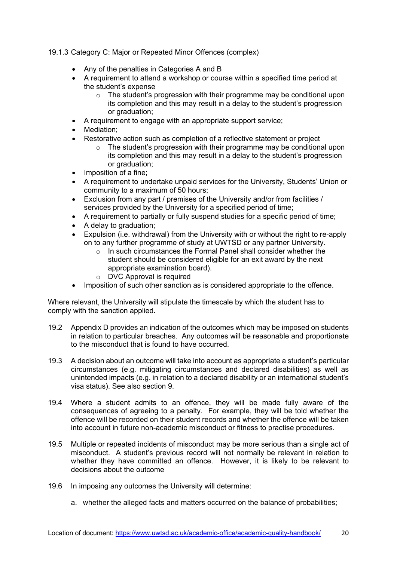19.1.3 Category C: Major or Repeated Minor Offences (complex)

- Any of the penalties in Categories A and B
- A requirement to attend a workshop or course within a specified time period at the student's expense
	- $\circ$  The student's progression with their programme may be conditional upon its completion and this may result in a delay to the student's progression or graduation;
- A requirement to engage with an appropriate support service;
- Mediation:
	- Restorative action such as completion of a reflective statement or project
		- $\circ$  The student's progression with their programme may be conditional upon its completion and this may result in a delay to the student's progression or graduation;
- Imposition of a fine:
- A requirement to undertake unpaid services for the University, Students' Union or community to a maximum of 50 hours;
- Exclusion from any part / premises of the University and/or from facilities / services provided by the University for a specified period of time;
- A requirement to partially or fully suspend studies for a specific period of time;
- A delay to graduation;
- Expulsion (i.e. withdrawal) from the University with or without the right to re-apply on to any further programme of study at UWTSD or any partner University.
	- o In such circumstances the Formal Panel shall consider whether the student should be considered eligible for an exit award by the next appropriate examination board).
	- o DVC Approval is required
- Imposition of such other sanction as is considered appropriate to the offence.

Where relevant, the University will stipulate the timescale by which the student has to comply with the sanction applied.

- 19.2 Appendix D provides an indication of the outcomes which may be imposed on students in relation to particular breaches. Any outcomes will be reasonable and proportionate to the misconduct that is found to have occurred.
- 19.3 A decision about an outcome will take into account as appropriate a student's particular circumstances (e.g. mitigating circumstances and declared disabilities) as well as unintended impacts (e.g. in relation to a declared disability or an international student's visa status). See also section 9.
- 19.4 Where a student admits to an offence, they will be made fully aware of the consequences of agreeing to a penalty. For example, they will be told whether the offence will be recorded on their student records and whether the offence will be taken into account in future non-academic misconduct or fitness to practise procedures.
- 19.5 Multiple or repeated incidents of misconduct may be more serious than a single act of misconduct. A student's previous record will not normally be relevant in relation to whether they have committed an offence. However, it is likely to be relevant to decisions about the outcome
- 19.6 In imposing any outcomes the University will determine:
	- a. whether the alleged facts and matters occurred on the balance of probabilities;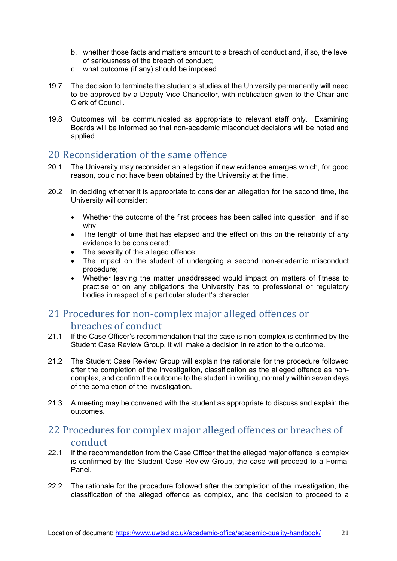- b. whether those facts and matters amount to a breach of conduct and, if so, the level of seriousness of the breach of conduct;
- c. what outcome (if any) should be imposed.
- 19.7 The decision to terminate the student's studies at the University permanently will need to be approved by a Deputy Vice-Chancellor, with notification given to the Chair and Clerk of Council.
- 19.8 Outcomes will be communicated as appropriate to relevant staff only. Examining Boards will be informed so that non-academic misconduct decisions will be noted and applied.

## <span id="page-20-0"></span>20 Reconsideration of the same offence<br>20.1 The University may reconsider an allegation if no

- The University may reconsider an allegation if new evidence emerges which, for good reason, could not have been obtained by the University at the time.
- 20.2 In deciding whether it is appropriate to consider an allegation for the second time, the University will consider:
	- Whether the outcome of the first process has been called into question, and if so why;
	- The length of time that has elapsed and the effect on this on the reliability of any evidence to be considered;
	- The severity of the alleged offence;
	- The impact on the student of undergoing a second non-academic misconduct procedure;
	- Whether leaving the matter unaddressed would impact on matters of fitness to practise or on any obligations the University has to professional or regulatory bodies in respect of a particular student's character.

### <span id="page-20-1"></span>21 Procedures for non-complex major alleged offences or breaches of conduct

- 21.1 If the Case Officer's recommendation that the case is non-complex is confirmed by the Student Case Review Group, it will make a decision in relation to the outcome.
- 21.2 The Student Case Review Group will explain the rationale for the procedure followed after the completion of the investigation, classification as the alleged offence as noncomplex, and confirm the outcome to the student in writing, normally within seven days of the completion of the investigation.
- 21.3 A meeting may be convened with the student as appropriate to discuss and explain the outcomes.

### <span id="page-20-2"></span>22 Procedures for complex major alleged offences or breaches of conduct

- 22.1 If the recommendation from the Case Officer that the alleged major offence is complex is confirmed by the Student Case Review Group, the case will proceed to a Formal Panel.
- 22.2 The rationale for the procedure followed after the completion of the investigation, the classification of the alleged offence as complex, and the decision to proceed to a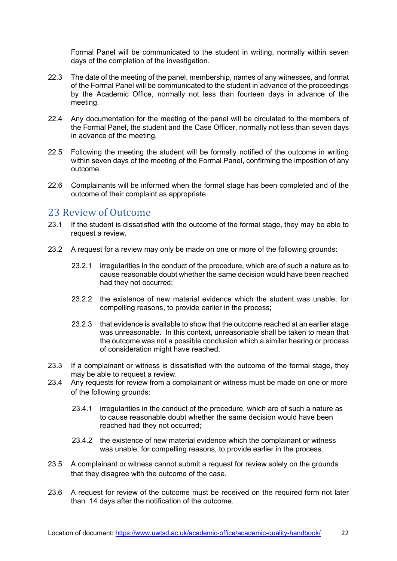Formal Panel will be communicated to the student in writing, normally within seven days of the completion of the investigation.

- 22.3 The date of the meeting of the panel, membership, names of any witnesses, and format of the Formal Panel will be communicated to the student in advance of the proceedings by the Academic Office, normally not less than fourteen days in advance of the meeting.
- 22.4 Any documentation for the meeting of the panel will be circulated to the members of the Formal Panel, the student and the Case Officer, normally not less than seven days in advance of the meeting.
- 22.5 Following the meeting the student will be formally notified of the outcome in writing within seven days of the meeting of the Formal Panel, confirming the imposition of any outcome.
- 22.6 Complainants will be informed when the formal stage has been completed and of the outcome of their complaint as appropriate.

## <span id="page-21-0"></span>23 Review of Outcome

- If the student is dissatisfied with the outcome of the formal stage, they may be able to request a review.
- 23.2 A request for a review may only be made on one or more of the following grounds:
	- 23.2.1 irregularities in the conduct of the procedure, which are of such a nature as to cause reasonable doubt whether the same decision would have been reached had they not occurred;
	- 23.2.2 the existence of new material evidence which the student was unable, for compelling reasons, to provide earlier in the process;
	- 23.2.3 that evidence is available to show that the outcome reached at an earlier stage was unreasonable. In this context, unreasonable shall be taken to mean that the outcome was not a possible conclusion which a similar hearing or process of consideration might have reached.
- 23.3 If a complainant or witness is dissatisfied with the outcome of the formal stage, they may be able to request a review.
- 23.4 Any requests for review from a complainant or witness must be made on one or more of the following grounds:
	- 23.4.1 irregularities in the conduct of the procedure, which are of such a nature as to cause reasonable doubt whether the same decision would have been reached had they not occurred;
	- 23.4.2 the existence of new material evidence which the complainant or witness was unable, for compelling reasons, to provide earlier in the process.
- 23.5 A complainant or witness cannot submit a request for review solely on the grounds that they disagree with the outcome of the case.
- 23.6 A request for review of the outcome must be received on the required form not later than 14 days after the notification of the outcome.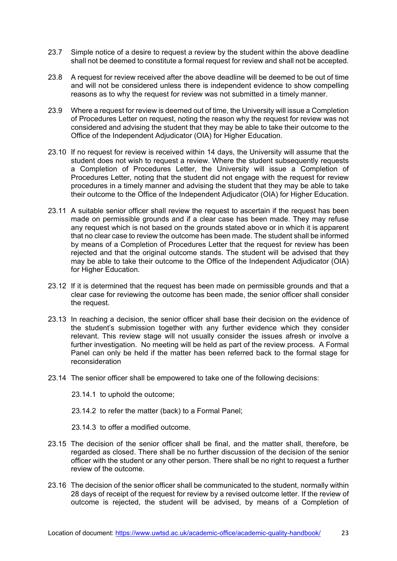- 23.7 Simple notice of a desire to request a review by the student within the above deadline shall not be deemed to constitute a formal request for review and shall not be accepted.
- 23.8 A request for review received after the above deadline will be deemed to be out of time and will not be considered unless there is independent evidence to show compelling reasons as to why the request for review was not submitted in a timely manner.
- 23.9 Where a request for review is deemed out of time, the University will issue a Completion of Procedures Letter on request, noting the reason why the request for review was not considered and advising the student that they may be able to take their outcome to the Office of the Independent Adjudicator (OIA) for Higher Education.
- 23.10 If no request for review is received within 14 days, the University will assume that the student does not wish to request a review. Where the student subsequently requests a Completion of Procedures Letter, the University will issue a Completion of Procedures Letter, noting that the student did not engage with the request for review procedures in a timely manner and advising the student that they may be able to take their outcome to the Office of the Independent Adjudicator (OIA) for Higher Education.
- 23.11 A suitable senior officer shall review the request to ascertain if the request has been made on permissible grounds and if a clear case has been made. They may refuse any request which is not based on the grounds stated above or in which it is apparent that no clear case to review the outcome has been made. The student shall be informed by means of a Completion of Procedures Letter that the request for review has been rejected and that the original outcome stands. The student will be advised that they may be able to take their outcome to the Office of the Independent Adjudicator (OIA) for Higher Education.
- 23.12 If it is determined that the request has been made on permissible grounds and that a clear case for reviewing the outcome has been made, the senior officer shall consider the request.
- 23.13 In reaching a decision, the senior officer shall base their decision on the evidence of the student's submission together with any further evidence which they consider relevant. This review stage will not usually consider the issues afresh or involve a further investigation. No meeting will be held as part of the review process. A Formal Panel can only be held if the matter has been referred back to the formal stage for reconsideration
- 23.14 The senior officer shall be empowered to take one of the following decisions:
	- 23.14.1 to uphold the outcome;
	- 23.14.2 to refer the matter (back) to a Formal Panel;
	- 23.14.3 to offer a modified outcome.
- 23.15 The decision of the senior officer shall be final, and the matter shall, therefore, be regarded as closed. There shall be no further discussion of the decision of the senior officer with the student or any other person. There shall be no right to request a further review of the outcome.
- 23.16 The decision of the senior officer shall be communicated to the student, normally within 28 days of receipt of the request for review by a revised outcome letter. If the review of outcome is rejected, the student will be advised, by means of a Completion of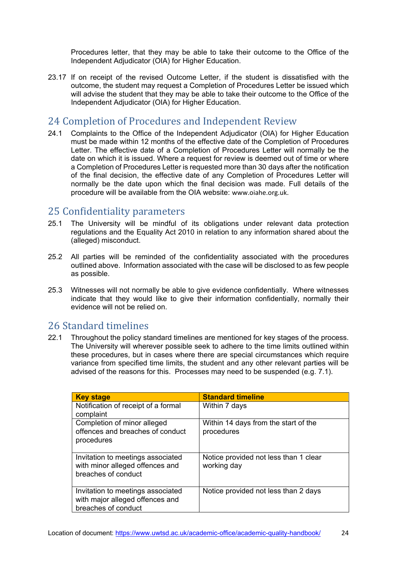Procedures letter, that they may be able to take their outcome to the Office of the Independent Adjudicator (OIA) for Higher Education.

23.17 If on receipt of the revised Outcome Letter, if the student is dissatisfied with the outcome, the student may request a Completion of Procedures Letter be issued which will advise the student that they may be able to take their outcome to the Office of the Independent Adjudicator (OIA) for Higher Education.

## <span id="page-23-0"></span>24 Completion of Procedures and Independent Review<br>24.1 Complaints to the Office of the Independent Adiudicator (OIA) for Hi

Complaints to the Office of the Independent Adjudicator (OIA) for Higher Education must be made within 12 months of the effective date of the Completion of Procedures Letter. The effective date of a Completion of Procedures Letter will normally be the date on which it is issued. Where a request for review is deemed out of time or where a Completion of Procedures Letter is requested more than 30 days after the notification of the final decision, the effective date of any Completion of Procedures Letter will normally be the date upon which the final decision was made. Full details of the procedure will be available from the OIA website: [www.oiahe.org.uk](http://www.oiahe.org.uk/).

### <span id="page-23-1"></span>25 Confidentiality parameters

- 25.1 The University will be mindful of its obligations under relevant data protection regulations and the Equality Act 2010 in relation to any information shared about the (alleged) misconduct.
- 25.2 All parties will be reminded of the confidentiality associated with the procedures outlined above. Information associated with the case will be disclosed to as few people as possible.
- 25.3 Witnesses will not normally be able to give evidence confidentially. Where witnesses indicate that they would like to give their information confidentially, normally their evidence will not be relied on.

## <span id="page-23-2"></span>26 Standard timelines<br>22.1 Throughout the policy sta

Throughout the policy standard timelines are mentioned for key stages of the process. The University will wherever possible seek to adhere to the time limits outlined within these procedures, but in cases where there are special circumstances which require variance from specified time limits, the student and any other relevant parties will be advised of the reasons for this. Processes may need to be suspended (e.g. 7.1).

| <b>Key stage</b>                                                                            | <b>Standard timeline</b>                             |
|---------------------------------------------------------------------------------------------|------------------------------------------------------|
| Notification of receipt of a formal                                                         | Within 7 days                                        |
| complaint                                                                                   |                                                      |
| Completion of minor alleged<br>offences and breaches of conduct<br>procedures               | Within 14 days from the start of the<br>procedures   |
| Invitation to meetings associated<br>with minor alleged offences and<br>breaches of conduct | Notice provided not less than 1 clear<br>working day |
| Invitation to meetings associated<br>with major alleged offences and<br>breaches of conduct | Notice provided not less than 2 days                 |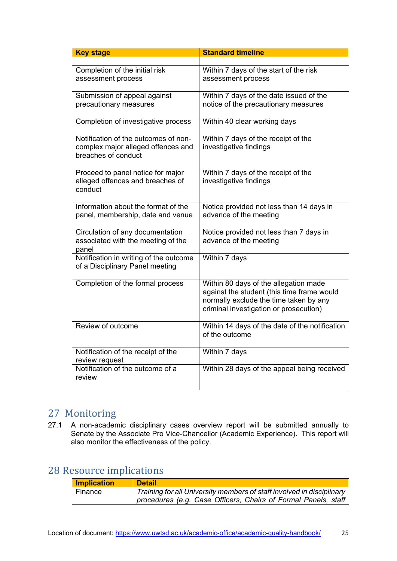| <b>Key stage</b>                                          | <b>Standard timeline</b>                                                         |
|-----------------------------------------------------------|----------------------------------------------------------------------------------|
|                                                           |                                                                                  |
| Completion of the initial risk                            | Within 7 days of the start of the risk                                           |
| assessment process                                        | assessment process                                                               |
| Submission of appeal against                              | Within 7 days of the date issued of the                                          |
| precautionary measures                                    | notice of the precautionary measures                                             |
| Completion of investigative process                       | Within 40 clear working days                                                     |
| Notification of the outcomes of non-                      | Within 7 days of the receipt of the                                              |
| complex major alleged offences and<br>breaches of conduct | investigative findings                                                           |
| Proceed to panel notice for major                         | Within 7 days of the receipt of the                                              |
| alleged offences and breaches of                          | investigative findings                                                           |
| conduct                                                   |                                                                                  |
| Information about the format of the                       | Notice provided not less than 14 days in                                         |
| panel, membership, date and venue                         | advance of the meeting                                                           |
| Circulation of any documentation                          | Notice provided not less than 7 days in                                          |
| associated with the meeting of the<br>panel               | advance of the meeting                                                           |
| Notification in writing of the outcome                    | Within 7 days                                                                    |
| of a Disciplinary Panel meeting                           |                                                                                  |
| Completion of the formal process                          | Within 80 days of the allegation made                                            |
|                                                           | against the student (this time frame would                                       |
|                                                           | normally exclude the time taken by any<br>criminal investigation or prosecution) |
|                                                           |                                                                                  |
| Review of outcome                                         | Within 14 days of the date of the notification                                   |
|                                                           | of the outcome                                                                   |
| Notification of the receipt of the                        | Within 7 days                                                                    |
| review request                                            |                                                                                  |
| Notification of the outcome of a<br>review                | Within 28 days of the appeal being received                                      |
|                                                           |                                                                                  |

### <span id="page-24-0"></span>27 Monitoring

27.1 A non-academic disciplinary cases overview report will be submitted annually to Senate by the Associate Pro Vice-Chancellor (Academic Experience). This report will also monitor the effectiveness of the policy.

### <span id="page-24-1"></span>28 Resource implications

| <b>Implication</b> | <b>Detail</b>                                                         |
|--------------------|-----------------------------------------------------------------------|
| Finance            | Training for all University members of staff involved in disciplinary |
|                    | procedures (e.g. Case Officers, Chairs of Formal Panels, staff)       |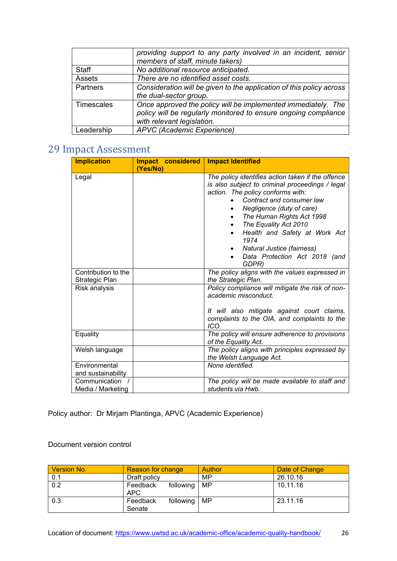|               | providing support to any party involved in an incident, senior<br>members of staff, minute takers)                                                             |  |
|---------------|----------------------------------------------------------------------------------------------------------------------------------------------------------------|--|
| Staff         | No additional resource anticipated.                                                                                                                            |  |
| <b>Assets</b> | There are no identified asset costs.                                                                                                                           |  |
| Partners      | Consideration will be given to the application of this policy across                                                                                           |  |
|               | the dual-sector group.                                                                                                                                         |  |
| Timescales    | Once approved the policy will be implemented immediately. The<br>policy will be regularly monitored to ensure ongoing compliance<br>with relevant legislation. |  |
| Leadership    | APVC (Academic Experience)                                                                                                                                     |  |

### <span id="page-25-0"></span>29 Impact Assessment

| <b>Implication</b>                    | Impact considered | <b>Impact Identified</b>                                                                                                                                                                                                                                                                                                                                                                                  |  |
|---------------------------------------|-------------------|-----------------------------------------------------------------------------------------------------------------------------------------------------------------------------------------------------------------------------------------------------------------------------------------------------------------------------------------------------------------------------------------------------------|--|
|                                       | (Yes/No)          |                                                                                                                                                                                                                                                                                                                                                                                                           |  |
| Legal                                 |                   | The policy identifies action taken if the offence<br>is also subject to criminal proceedings / legal<br>action. The policy conforms with:<br>Contract and consumer law<br>Negligence (duty of care)<br>٠<br>The Human Rights Act 1998<br>The Equality Act 2010<br>$\bullet$<br>Health and Safety at Work Act<br>$\bullet$<br>1974<br>Natural Justice (fairness)<br>Data Protection Act 2018 (and<br>GDPR) |  |
| Contribution to the<br>Strategic Plan |                   | The policy aligns with the values expressed in<br>the Strategic Plan.                                                                                                                                                                                                                                                                                                                                     |  |
| Risk analysis                         |                   | Policy compliance will mitigate the risk of non-<br>academic misconduct.<br>It will also mitigate against court claims,<br>complaints to the OIA, and complaints to the<br>ICO.                                                                                                                                                                                                                           |  |
| Equality                              |                   | The policy will ensure adherence to provisions<br>of the Equality Act.                                                                                                                                                                                                                                                                                                                                    |  |
| Welsh language                        |                   | The policy aligns with principles expressed by<br>the Welsh Language Act.                                                                                                                                                                                                                                                                                                                                 |  |
| Environmental<br>and sustainability   |                   | None identified.                                                                                                                                                                                                                                                                                                                                                                                          |  |
| Communication<br>Media / Marketing    |                   | The policy will be made available to staff and<br>students via Hwb.                                                                                                                                                                                                                                                                                                                                       |  |

Policy author: Dr Mirjam Plantinga, APVC (Academic Experience)

#### Document version control

| <b>Version No.</b> | <b>Reason for change</b>             | Author | Date of Change |
|--------------------|--------------------------------------|--------|----------------|
| 0.1                | Draft policy                         | MP     | 26.10.16       |
| 0.2                | following   MP<br>Feedback<br>APC.   |        | 10.11.16       |
| 0.3                | following   MP<br>Feedback<br>Senate |        | 23.11.16       |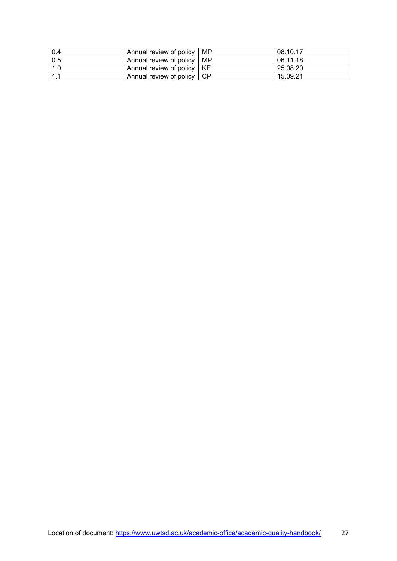| 0.4 | Annual review of policy      | MP | 08.10.17 |
|-----|------------------------------|----|----------|
| 0.5 | Annual review of policy I    | MP | 06.11.18 |
| 1.0 | Annual review of policy   KE |    | 25.08.20 |
|     | Annual review of policy 1    |    | 15.09.21 |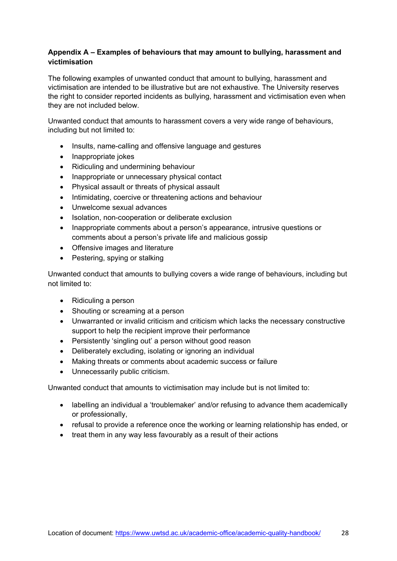#### **Appendix A – Examples of behaviours that may amount to bullying, harassment and victimisation**

The following examples of unwanted conduct that amount to bullying, harassment and victimisation are intended to be illustrative but are not exhaustive. The University reserves the right to consider reported incidents as bullying, harassment and victimisation even when they are not included below.

Unwanted conduct that amounts to harassment covers a very wide range of behaviours, including but not limited to:

- Insults, name-calling and offensive language and gestures
- Inappropriate jokes
- Ridiculing and undermining behaviour
- Inappropriate or unnecessary physical contact
- Physical assault or threats of physical assault
- Intimidating, coercive or threatening actions and behaviour
- Unwelcome sexual advances
- Isolation, non-cooperation or deliberate exclusion
- Inappropriate comments about a person's appearance, intrusive questions or comments about a person's private life and malicious gossip
- Offensive images and literature
- Pestering, spying or stalking

Unwanted conduct that amounts to bullying covers a wide range of behaviours, including but not limited to:

- Ridiculing a person
- Shouting or screaming at a person
- Unwarranted or invalid criticism and criticism which lacks the necessary constructive support to help the recipient improve their performance
- Persistently 'singling out' a person without good reason
- Deliberately excluding, isolating or ignoring an individual
- Making threats or comments about academic success or failure
- Unnecessarily public criticism.

Unwanted conduct that amounts to victimisation may include but is not limited to:

- labelling an individual a 'troublemaker' and/or refusing to advance them academically or professionally,
- refusal to provide a reference once the working or learning relationship has ended, or
- treat them in any way less favourably as a result of their actions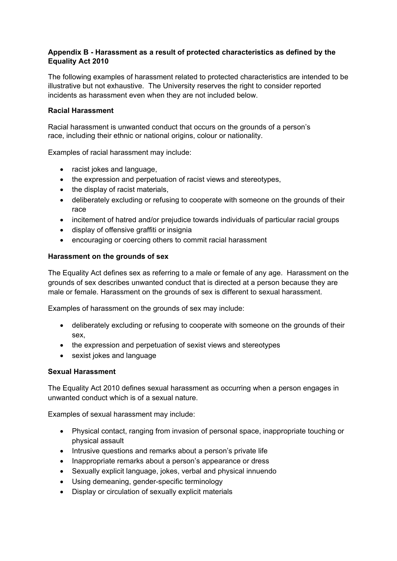#### **Appendix B - Harassment as a result of protected characteristics as defined by the Equality Act 2010**

The following examples of harassment related to protected characteristics are intended to be illustrative but not exhaustive. The University reserves the right to consider reported incidents as harassment even when they are not included below.

#### **Racial Harassment**

Racial harassment is unwanted conduct that occurs on the grounds of a person's race, including their ethnic or national origins, colour or nationality.

Examples of racial harassment may include:

- racist jokes and language,
- the expression and perpetuation of racist views and stereotypes,
- the display of racist materials,
- deliberately excluding or refusing to cooperate with someone on the grounds of their race
- incitement of hatred and/or prejudice towards individuals of particular racial groups
- display of offensive graffiti or insignia
- encouraging or coercing others to commit racial harassment

#### **Harassment on the grounds of sex**

The Equality Act defines sex as referring to a male or female of any age. Harassment on the grounds of sex describes unwanted conduct that is directed at a person because they are male or female. Harassment on the grounds of sex is different to sexual harassment.

Examples of harassment on the grounds of sex may include:

- deliberately excluding or refusing to cooperate with someone on the grounds of their sex,
- the expression and perpetuation of sexist views and stereotypes
- sexist jokes and language

#### **Sexual Harassment**

The Equality Act 2010 defines sexual harassment as occurring when a person engages in unwanted conduct which is of a sexual nature.

Examples of sexual harassment may include:

- Physical contact, ranging from invasion of personal space, inappropriate touching or physical assault
- Intrusive questions and remarks about a person's private life
- Inappropriate remarks about a person's appearance or dress
- Sexually explicit language, jokes, verbal and physical innuendo
- Using demeaning, gender-specific terminology
- Display or circulation of sexually explicit materials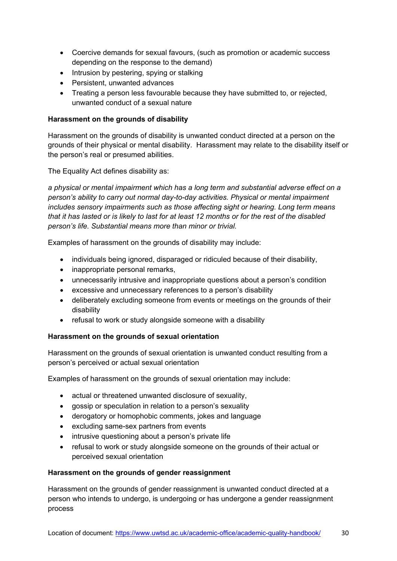- Coercive demands for sexual favours, (such as promotion or academic success depending on the response to the demand)
- Intrusion by pestering, spying or stalking
- Persistent, unwanted advances
- Treating a person less favourable because they have submitted to, or rejected, unwanted conduct of a sexual nature

#### **Harassment on the grounds of disability**

Harassment on the grounds of disability is unwanted conduct directed at a person on the grounds of their physical or mental disability. Harassment may relate to the disability itself or the person's real or presumed abilities.

The Equality Act defines disability as:

*a physical or mental impairment which has a long term and substantial adverse effect on a person's ability to carry out normal day-to-day activities. Physical or mental impairment includes sensory impairments such as those affecting sight or hearing. Long term means that it has lasted or is likely to last for at least 12 months or for the rest of the disabled person's life. Substantial means more than minor or trivial.*

Examples of harassment on the grounds of disability may include:

- individuals being ignored, disparaged or ridiculed because of their disability,
- inappropriate personal remarks,
- unnecessarily intrusive and inappropriate questions about a person's condition
- excessive and unnecessary references to a person's disability
- deliberately excluding someone from events or meetings on the grounds of their disability
- refusal to work or study alongside someone with a disability

#### **Harassment on the grounds of sexual orientation**

Harassment on the grounds of sexual orientation is unwanted conduct resulting from a person's perceived or actual sexual orientation

Examples of harassment on the grounds of sexual orientation may include:

- actual or threatened unwanted disclosure of sexuality,
- gossip or speculation in relation to a person's sexuality
- derogatory or homophobic comments, jokes and language
- excluding same-sex partners from events
- intrusive questioning about a person's private life
- refusal to work or study alongside someone on the grounds of their actual or perceived sexual orientation

#### **Harassment on the grounds of gender reassignment**

Harassment on the grounds of gender reassignment is unwanted conduct directed at a person who intends to undergo, is undergoing or has undergone a gender reassignment process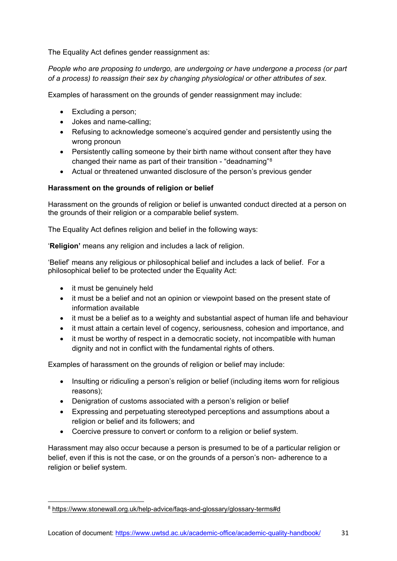The Equality Act defines gender reassignment as:

*People who are proposing to undergo, are undergoing or have undergone a process (or part of a process) to reassign their sex by changing physiological or other attributes of sex.*

Examples of harassment on the grounds of gender reassignment may include:

- Excluding a person;
- Jokes and name-calling;
- Refusing to acknowledge someone's acquired gender and persistently using the wrong pronoun
- Persistently calling someone by their birth name without consent after they have changed their name as part of their transition - "deadnaming"[8](#page-30-0)
- Actual or threatened unwanted disclosure of the person's previous gender

#### **Harassment on the grounds of religion or belief**

Harassment on the grounds of religion or belief is unwanted conduct directed at a person on the grounds of their religion or a comparable belief system.

The Equality Act defines religion and belief in the following ways:

'**Religion'** means any religion and includes a lack of religion.

'Belief' means any religious or philosophical belief and includes a lack of belief. For a philosophical belief to be protected under the Equality Act:

- it must be genuinely held
- it must be a belief and not an opinion or viewpoint based on the present state of information available
- it must be a belief as to a weighty and substantial aspect of human life and behaviour
- it must attain a certain level of cogency, seriousness, cohesion and importance, and
- it must be worthy of respect in a democratic society, not incompatible with human dignity and not in conflict with the fundamental rights of others.

Examples of harassment on the grounds of religion or belief may include:

- Insulting or ridiculing a person's religion or belief (including items worn for religious reasons);
- Denigration of customs associated with a person's religion or belief
- Expressing and perpetuating stereotyped perceptions and assumptions about a religion or belief and its followers; and
- Coercive pressure to convert or conform to a religion or belief system.

Harassment may also occur because a person is presumed to be of a particular religion or belief, even if this is not the case, or on the grounds of a person's non- adherence to a religion or belief system.

<span id="page-30-0"></span><sup>8</sup> https://www.stonewall.org.uk/help-advice/faqs-and-glossary/glossary-terms#d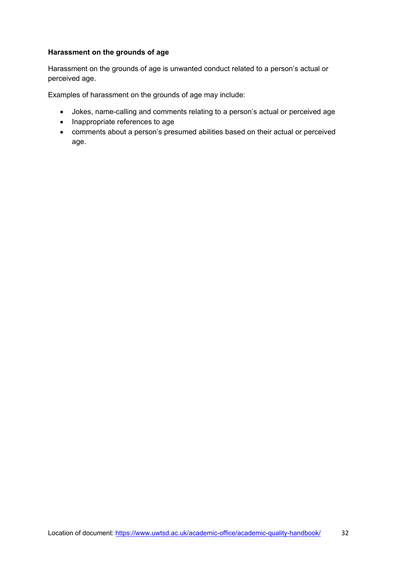#### **Harassment on the grounds of age**

Harassment on the grounds of age is unwanted conduct related to a person's actual or perceived age.

Examples of harassment on the grounds of age may include:

- Jokes, name-calling and comments relating to a person's actual or perceived age
- Inappropriate references to age
- comments about a person's presumed abilities based on their actual or perceived age.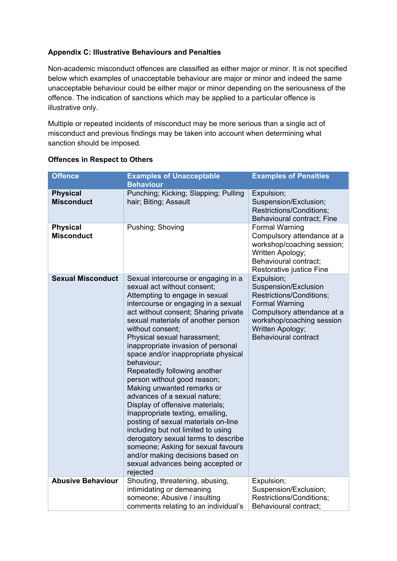#### **Appendix C: Illustrative Behaviours and Penalties**

Non-academic misconduct offences are classified as either major or minor. It is not specified below which examples of unacceptable behaviour are major or minor and indeed the same unacceptable behaviour could be either major or minor depending on the seriousness of the offence. The indication of sanctions which may be applied to a particular offence is illustrative only.

Multiple or repeated incidents of misconduct may be more serious than a single act of misconduct and previous findings may be taken into account when determining what sanction should be imposed.

| <b>Offence</b>                       | <b>Examples of Unacceptable</b><br><b>Behaviour</b>                                                                                                                                                                                                                                                                                                                                                                                                                                                                                                                                                                                                                                                                                                                                                                        | <b>Examples of Penalties</b>                                                                                                                                                                          |
|--------------------------------------|----------------------------------------------------------------------------------------------------------------------------------------------------------------------------------------------------------------------------------------------------------------------------------------------------------------------------------------------------------------------------------------------------------------------------------------------------------------------------------------------------------------------------------------------------------------------------------------------------------------------------------------------------------------------------------------------------------------------------------------------------------------------------------------------------------------------------|-------------------------------------------------------------------------------------------------------------------------------------------------------------------------------------------------------|
| <b>Physical</b><br><b>Misconduct</b> | Punching; Kicking; Slapping; Pulling<br>hair; Biting; Assault                                                                                                                                                                                                                                                                                                                                                                                                                                                                                                                                                                                                                                                                                                                                                              | Expulsion;<br>Suspension/Exclusion;<br>Restrictions/Conditions;<br>Behavioural contract; Fine                                                                                                         |
| <b>Physical</b><br><b>Misconduct</b> | Pushing; Shoving                                                                                                                                                                                                                                                                                                                                                                                                                                                                                                                                                                                                                                                                                                                                                                                                           | <b>Formal Warning</b><br>Compulsory attendance at a<br>workshop/coaching session;<br>Written Apology;<br>Behavioural contract;<br>Restorative justice Fine                                            |
| <b>Sexual Misconduct</b>             | Sexual intercourse or engaging in a<br>sexual act without consent;<br>Attempting to engage in sexual<br>intercourse or engaging in a sexual<br>act without consent; Sharing private<br>sexual materials of another person<br>without consent;<br>Physical sexual harassment;<br>inappropriate invasion of personal<br>space and/or inappropriate physical<br>behaviour;<br>Repeatedly following another<br>person without good reason;<br>Making unwanted remarks or<br>advances of a sexual nature;<br>Display of offensive materials;<br>Inappropriate texting, emailing,<br>posting of sexual materials on-line<br>including but not limited to using<br>derogatory sexual terms to describe<br>someone; Asking for sexual favours<br>and/or making decisions based on<br>sexual advances being accepted or<br>rejected | Expulsion;<br>Suspension/Exclusion<br>Restrictions/Conditions;<br><b>Formal Warning</b><br>Compulsory attendance at a<br>workshop/coaching session<br>Written Apology;<br><b>Behavioural contract</b> |
| <b>Abusive Behaviour</b>             | Shouting, threatening, abusing,<br>intimidating or demeaning<br>someone; Abusive / insulting<br>comments relating to an individual's                                                                                                                                                                                                                                                                                                                                                                                                                                                                                                                                                                                                                                                                                       | Expulsion;<br>Suspension/Exclusion;<br>Restrictions/Conditions;<br>Behavioural contract;                                                                                                              |

#### **Offences in Respect to Others**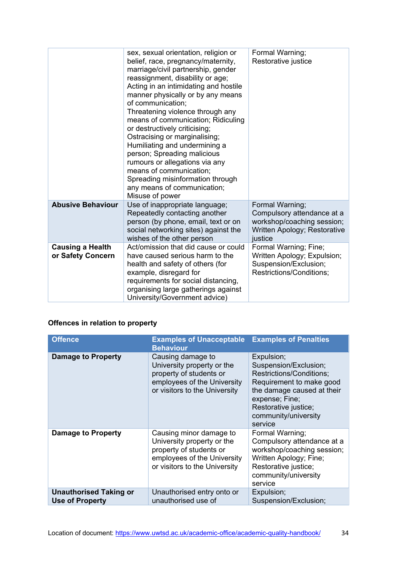|                                              | sex, sexual orientation, religion or<br>belief, race, pregnancy/maternity,<br>marriage/civil partnership, gender<br>reassignment, disability or age;<br>Acting in an intimidating and hostile<br>manner physically or by any means<br>of communication;<br>Threatening violence through any<br>means of communication; Ridiculing<br>or destructively criticising;<br>Ostracising or marginalising;<br>Humiliating and undermining a<br>person; Spreading malicious<br>rumours or allegations via any<br>means of communication;<br>Spreading misinformation through<br>any means of communication;<br>Misuse of power | Formal Warning;<br>Restorative justice                                                                                 |
|----------------------------------------------|------------------------------------------------------------------------------------------------------------------------------------------------------------------------------------------------------------------------------------------------------------------------------------------------------------------------------------------------------------------------------------------------------------------------------------------------------------------------------------------------------------------------------------------------------------------------------------------------------------------------|------------------------------------------------------------------------------------------------------------------------|
| <b>Abusive Behaviour</b>                     | Use of inappropriate language;<br>Repeatedly contacting another<br>person (by phone, email, text or on<br>social networking sites) against the<br>wishes of the other person                                                                                                                                                                                                                                                                                                                                                                                                                                           | Formal Warning;<br>Compulsory attendance at a<br>workshop/coaching session;<br>Written Apology; Restorative<br>justice |
| <b>Causing a Health</b><br>or Safety Concern | Act/omission that did cause or could<br>have caused serious harm to the<br>health and safety of others (for<br>example, disregard for<br>requirements for social distancing,<br>organising large gatherings against<br>University/Government advice)                                                                                                                                                                                                                                                                                                                                                                   | Formal Warning; Fine;<br>Written Apology; Expulsion;<br>Suspension/Exclusion;<br>Restrictions/Conditions;              |

#### **Offences in relation to property**

| <b>Offence</b>                                          | <b>Examples of Unacceptable Examples of Penalties</b><br><b>Behaviour</b>                                                                        |                                                                                                                                                                                                        |
|---------------------------------------------------------|--------------------------------------------------------------------------------------------------------------------------------------------------|--------------------------------------------------------------------------------------------------------------------------------------------------------------------------------------------------------|
| <b>Damage to Property</b>                               | Causing damage to<br>University property or the<br>property of students or<br>employees of the University<br>or visitors to the University       | Expulsion;<br>Suspension/Exclusion;<br>Restrictions/Conditions;<br>Requirement to make good<br>the damage caused at their<br>expense; Fine;<br>Restorative justice;<br>community/university<br>service |
| Damage to Property                                      | Causing minor damage to<br>University property or the<br>property of students or<br>employees of the University<br>or visitors to the University | Formal Warning;<br>Compulsory attendance at a<br>workshop/coaching session;<br>Written Apology; Fine;<br>Restorative justice;<br>community/university<br>service                                       |
| <b>Unauthorised Taking or</b><br><b>Use of Property</b> | Unauthorised entry onto or<br>unauthorised use of                                                                                                | Expulsion;<br>Suspension/Exclusion;                                                                                                                                                                    |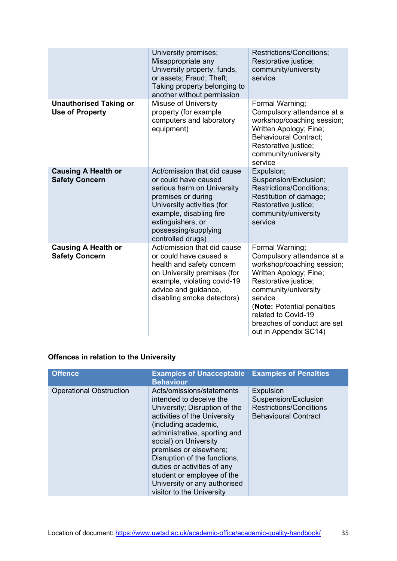|                                                         | University premises;<br>Misappropriate any<br>University property, funds,<br>or assets; Fraud; Theft;<br>Taking property belonging to<br>another without permission                                                                | Restrictions/Conditions;<br>Restorative justice;<br>community/university<br>service                                                                                                                                                                                           |
|---------------------------------------------------------|------------------------------------------------------------------------------------------------------------------------------------------------------------------------------------------------------------------------------------|-------------------------------------------------------------------------------------------------------------------------------------------------------------------------------------------------------------------------------------------------------------------------------|
| <b>Unauthorised Taking or</b><br><b>Use of Property</b> | <b>Misuse of University</b><br>property (for example<br>computers and laboratory<br>equipment)                                                                                                                                     | Formal Warning;<br>Compulsory attendance at a<br>workshop/coaching session;<br>Written Apology; Fine;<br><b>Behavioural Contract:</b><br>Restorative justice;<br>community/university<br>service                                                                              |
| <b>Causing A Health or</b><br><b>Safety Concern</b>     | Act/omission that did cause<br>or could have caused<br>serious harm on University<br>premises or during<br>University activities (for<br>example, disabling fire<br>extinguishers, or<br>possessing/supplying<br>controlled drugs) | Expulsion;<br>Suspension/Exclusion;<br>Restrictions/Conditions;<br>Restitution of damage;<br>Restorative justice;<br>community/university<br>service                                                                                                                          |
| <b>Causing A Health or</b><br><b>Safety Concern</b>     | Act/omission that did cause<br>or could have caused a<br>health and safety concern<br>on University premises (for<br>example, violating covid-19<br>advice and guidance,<br>disabling smoke detectors)                             | Formal Warning;<br>Compulsory attendance at a<br>workshop/coaching session;<br>Written Apology; Fine;<br>Restorative justice;<br>community/university<br>service<br>(Note: Potential penalties<br>related to Covid-19<br>breaches of conduct are set<br>out in Appendix SC14) |

#### **Offences in relation to the University**

| Offence                        | <b>Examples of Unacceptable Examples of Penalties</b><br><b>Behaviour</b>                                                                                                                                                                                                                                                                                                                  |                                                                                                           |
|--------------------------------|--------------------------------------------------------------------------------------------------------------------------------------------------------------------------------------------------------------------------------------------------------------------------------------------------------------------------------------------------------------------------------------------|-----------------------------------------------------------------------------------------------------------|
| <b>Operational Obstruction</b> | Acts/omissions/statements<br>intended to deceive the<br>University; Disruption of the<br>activities of the University<br>(including academic,<br>administrative, sporting and<br>social) on University<br>premises or elsewhere;<br>Disruption of the functions,<br>duties or activities of any<br>student or employee of the<br>University or any authorised<br>visitor to the University | <b>Expulsion</b><br>Suspension/Exclusion<br><b>Restrictions/Conditions</b><br><b>Behavioural Contract</b> |